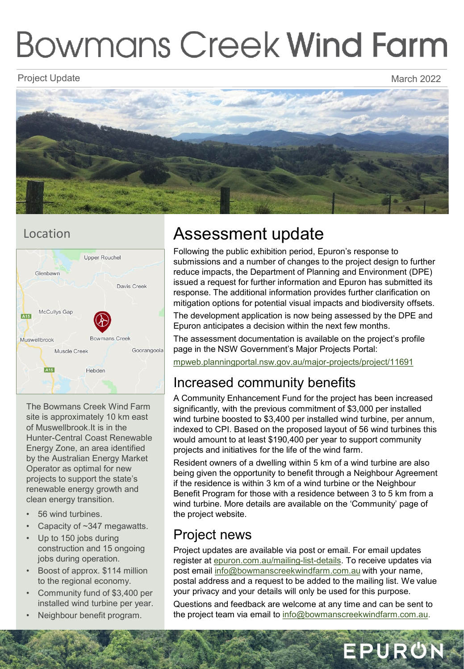# **Bowmans Creek Wind Farm**

#### Project Update March 2022 - And the March 2022 - And the March 2022 - March 2022



## Location



The Bowmans Creek Wind Farm site is approximately 10 km east of Muswellbrook.It is in the Hunter-Central Coast Renewable Energy Zone, an area identified by the Australian Energy Market Operator as optimal for new projects to support the state's renewable energy growth and clean energy transition.

- 56 wind turbines.
- Capacity of ~347 megawatts.
- Up to 150 jobs during construction and 15 ongoing jobs during operation.
- Boost of approx. \$114 million to the regional economy.
- Community fund of \$3,400 per installed wind turbine per year.
- Neighbour benefit program.

## Assessment update

Following the public exhibition period, Epuron's response to submissions and a number of changes to the project design to further reduce impacts, the Department of Planning and Environment (DPE) issued a request for further information and Epuron has submitted its response. The additional information provides further clarification on mitigation options for potential visual impacts and biodiversity offsets.

The development application is now being assessed by the DPE and Epuron anticipates a decision within the next few months.

The assessment documentation is available on the project's profile page in the NSW Government's Major Projects Portal:

[mpweb.planningportal.nsw.gov.au/major-projects/project/11691](http://mpweb.planningportal.nsw.gov.au/major-projects/project/11691) 

## Increased community benefits

A Community Enhancement Fund for the project has been increased significantly, with the previous commitment of \$3,000 per installed wind turbine boosted to \$3,400 per installed wind turbine, per annum, indexed to CPI. Based on the proposed layout of 56 wind turbines this would amount to at least \$190,400 per year to support community projects and initiatives for the life of the wind farm.

Resident owners of a dwelling within 5 km of a wind turbine are also being given the opportunity to benefit through a Neighbour Agreement if the residence is within 3 km of a wind turbine or the Neighbour Benefit Program for those with a residence between 3 to 5 km from a wind turbine. More details are available on the 'Community' page of the project website.

## Project news

Project updates are available via post or email. For email updates register at [epuron.com.au/mailing-list-details](https://epuron.com.au/mailing-list-details/). To receive updates via post email [info@bowmanscreekwindfarm.com.au](mailto:info@bowmanscreekwindfarm.com.au) with your name, postal address and a request to be added to the mailing list. We value your privacy and your details will only be used for this purpose.

Questions and feedback are welcome at any time and can be sent to the project team via email to [info@bowmanscreekwindfarm.com.au.](mailto:info@bowmanscreekwindfarm.com.au)

EPURON